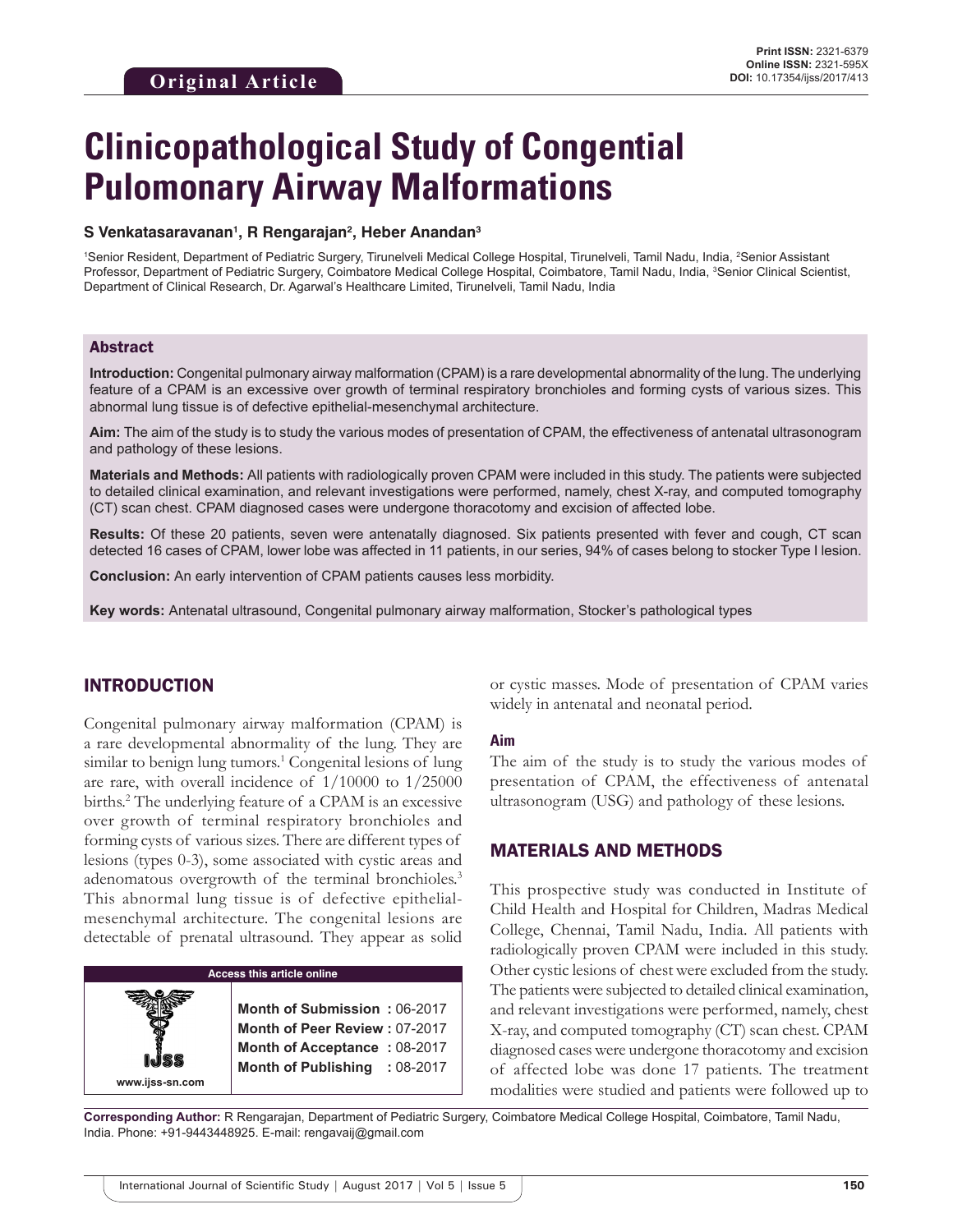# **Clinicopathological Study of Congential Pulomonary Airway Malformations**

#### **S Venkatasaravanan1 , R Rengarajan2 , Heber Anandan3**

<sup>1</sup>Senior Resident, Department of Pediatric Surgery, Tirunelveli Medical College Hospital, Tirunelveli, Tamil Nadu, India, <sup>2</sup>Senior Assistant Professor, Department of Pediatric Surgery, Coimbatore Medical College Hospital, Coimbatore, Tamil Nadu, India, <sup>3</sup>Senior Clinical Scientist, Department of Clinical Research, Dr. Agarwal's Healthcare Limited, Tirunelveli, Tamil Nadu, India

#### Abstract

**Introduction:** Congenital pulmonary airway malformation (CPAM) is a rare developmental abnormality of the lung. The underlying feature of a CPAM is an excessive over growth of terminal respiratory bronchioles and forming cysts of various sizes. This abnormal lung tissue is of defective epithelial-mesenchymal architecture.

**Aim:** The aim of the study is to study the various modes of presentation of CPAM, the effectiveness of antenatal ultrasonogram and pathology of these lesions.

**Materials and Methods:** All patients with radiologically proven CPAM were included in this study. The patients were subjected to detailed clinical examination, and relevant investigations were performed, namely, chest X-ray, and computed tomography (CT) scan chest. CPAM diagnosed cases were undergone thoracotomy and excision of affected lobe.

**Results:** Of these 20 patients, seven were antenatally diagnosed. Six patients presented with fever and cough, CT scan detected 16 cases of CPAM, lower lobe was affected in 11 patients, in our series, 94% of cases belong to stocker Type I lesion.

**Conclusion:** An early intervention of CPAM patients causes less morbidity.

**Key words:** Antenatal ultrasound, Congenital pulmonary airway malformation, Stocker's pathological types

## INTRODUCTION

Congenital pulmonary airway malformation (CPAM) is a rare developmental abnormality of the lung. They are similar to benign lung tumors.<sup>1</sup> Congenital lesions of lung are rare, with overall incidence of 1/10000 to 1/25000 births.2 The underlying feature of a CPAM is an excessive over growth of terminal respiratory bronchioles and forming cysts of various sizes. There are different types of lesions (types 0-3), some associated with cystic areas and adenomatous overgrowth of the terminal bronchioles.<sup>3</sup> This abnormal lung tissue is of defective epithelialmesenchymal architecture. The congenital lesions are detectable of prenatal ultrasound. They appear as solid



or cystic masses. Mode of presentation of CPAM varies widely in antenatal and neonatal period.

#### **Aim**

The aim of the study is to study the various modes of presentation of CPAM, the effectiveness of antenatal ultrasonogram (USG) and pathology of these lesions.

#### MATERIALS AND METHODS

This prospective study was conducted in Institute of Child Health and Hospital for Children, Madras Medical College, Chennai, Tamil Nadu, India. All patients with radiologically proven CPAM were included in this study. Other cystic lesions of chest were excluded from the study. The patients were subjected to detailed clinical examination, and relevant investigations were performed, namely, chest X-ray, and computed tomography (CT) scan chest. CPAM diagnosed cases were undergone thoracotomy and excision of affected lobe was done 17 patients. The treatment modalities were studied and patients were followed up to

**Corresponding Author:** R Rengarajan, Department of Pediatric Surgery, Coimbatore Medical College Hospital, Coimbatore, Tamil Nadu, India. Phone: +91-9443448925. E-mail: rengavaij@gmail.com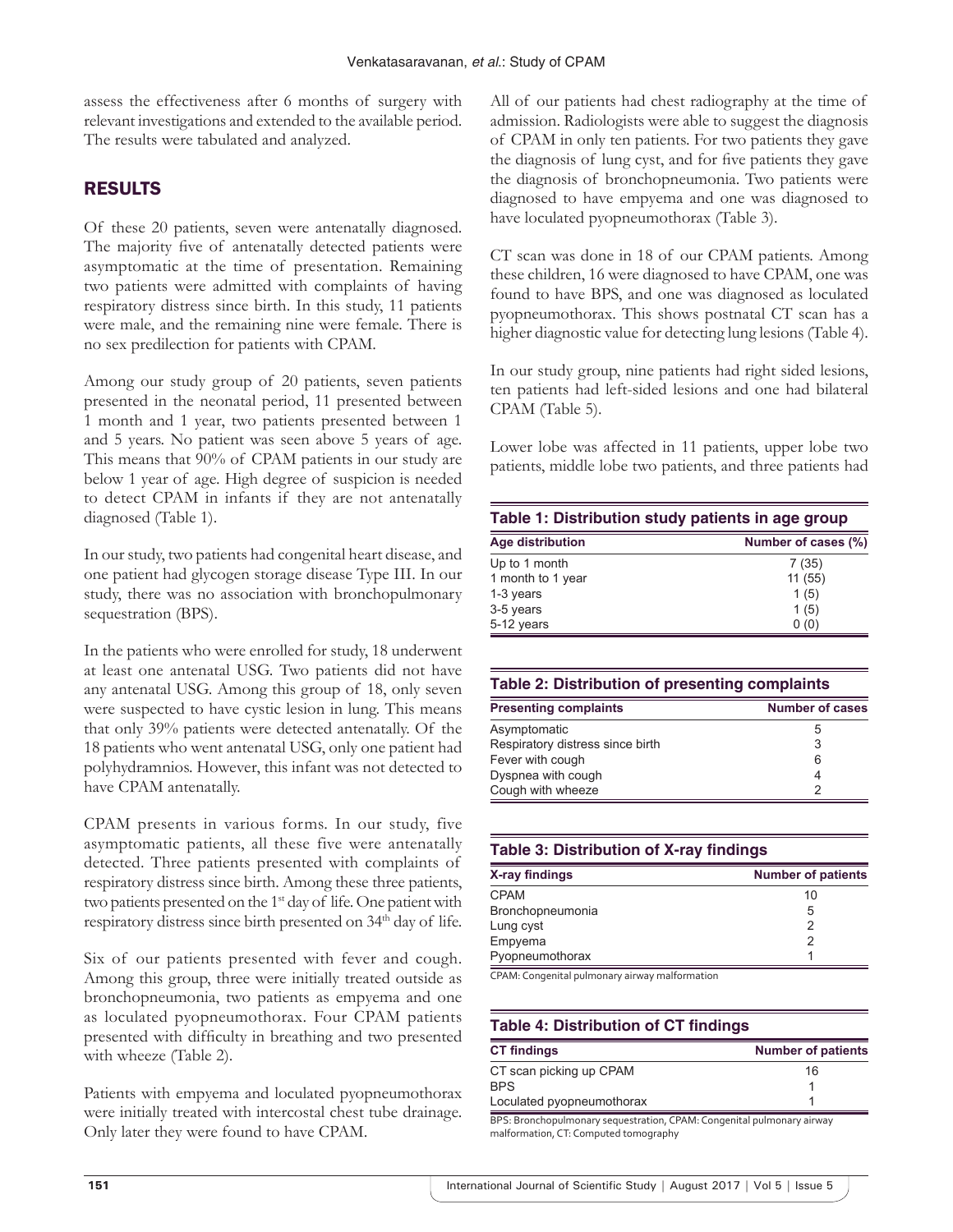assess the effectiveness after 6 months of surgery with relevant investigations and extended to the available period. The results were tabulated and analyzed.

## RESULTS

Of these 20 patients, seven were antenatally diagnosed. The majority five of antenatally detected patients were asymptomatic at the time of presentation. Remaining two patients were admitted with complaints of having respiratory distress since birth. In this study, 11 patients were male, and the remaining nine were female. There is no sex predilection for patients with CPAM.

Among our study group of 20 patients, seven patients presented in the neonatal period, 11 presented between 1 month and 1 year, two patients presented between 1 and 5 years. No patient was seen above 5 years of age. This means that 90% of CPAM patients in our study are below 1 year of age. High degree of suspicion is needed to detect CPAM in infants if they are not antenatally diagnosed (Table 1).

In our study, two patients had congenital heart disease, and one patient had glycogen storage disease Type III. In our study, there was no association with bronchopulmonary sequestration (BPS).

In the patients who were enrolled for study, 18 underwent at least one antenatal USG. Two patients did not have any antenatal USG. Among this group of 18, only seven were suspected to have cystic lesion in lung. This means that only 39% patients were detected antenatally. Of the 18 patients who went antenatal USG, only one patient had polyhydramnios. However, this infant was not detected to have CPAM antenatally.

CPAM presents in various forms. In our study, five asymptomatic patients, all these five were antenatally detected. Three patients presented with complaints of respiratory distress since birth. Among these three patients, two patients presented on the 1<sup>st</sup> day of life. One patient with respiratory distress since birth presented on 34<sup>th</sup> day of life.

Six of our patients presented with fever and cough. Among this group, three were initially treated outside as bronchopneumonia, two patients as empyema and one as loculated pyopneumothorax. Four CPAM patients presented with difficulty in breathing and two presented with wheeze (Table 2).

Patients with empyema and loculated pyopneumothorax were initially treated with intercostal chest tube drainage. Only later they were found to have CPAM.

All of our patients had chest radiography at the time of admission. Radiologists were able to suggest the diagnosis of CPAM in only ten patients. For two patients they gave the diagnosis of lung cyst, and for five patients they gave the diagnosis of bronchopneumonia. Two patients were diagnosed to have empyema and one was diagnosed to have loculated pyopneumothorax (Table 3).

CT scan was done in 18 of our CPAM patients. Among these children, 16 were diagnosed to have CPAM, one was found to have BPS, and one was diagnosed as loculated pyopneumothorax. This shows postnatal CT scan has a higher diagnostic value for detecting lung lesions (Table 4).

In our study group, nine patients had right sided lesions, ten patients had left-sided lesions and one had bilateral CPAM (Table 5).

Lower lobe was affected in 11 patients, upper lobe two patients, middle lobe two patients, and three patients had

| Table 1: Distribution study patients in age group |                     |  |
|---------------------------------------------------|---------------------|--|
| <b>Age distribution</b>                           | Number of cases (%) |  |
| Up to 1 month                                     | 7(35)               |  |
| 1 month to 1 year                                 | 11(55)              |  |
| 1-3 years                                         | 1(5)                |  |
| 3-5 years                                         | 1(5)                |  |
| 5-12 years                                        | 0(0)                |  |

#### **Table 2: Distribution of presenting complaints**

| <b>Presenting complaints</b>     | <b>Number of cases</b> |
|----------------------------------|------------------------|
| Asymptomatic                     | 5                      |
| Respiratory distress since birth | 3                      |
| Fever with cough                 | 6                      |
| Dyspnea with cough               | 4                      |
| Cough with wheeze                |                        |

| Table 3: Distribution of X-ray findings |                           |  |
|-----------------------------------------|---------------------------|--|
| X-ray findings                          | <b>Number of patients</b> |  |
| <b>CPAM</b>                             | 10                        |  |
| Bronchopneumonia                        | 5                         |  |
| Lung cyst                               | 2                         |  |
| Empyema                                 | 2                         |  |
| Pyopneumothorax                         |                           |  |

CPAM: Congenital pulmonary airway malformation

## **Table 4: Distribution of CT findings**

| <b>CT findings</b>                                                    | <b>Number of patients</b> |
|-----------------------------------------------------------------------|---------------------------|
| CT scan picking up CPAM                                               | 16                        |
| <b>BPS</b>                                                            |                           |
| Loculated pyopneumothorax                                             |                           |
| RPS, Bronchonulmonary sequestration CPAM, Congenital pulmonary airway |                           |

BPS: Bronchopulmonary sequestration, CPAM: Congenital pulmonary airway malformation, CT: Computed tomography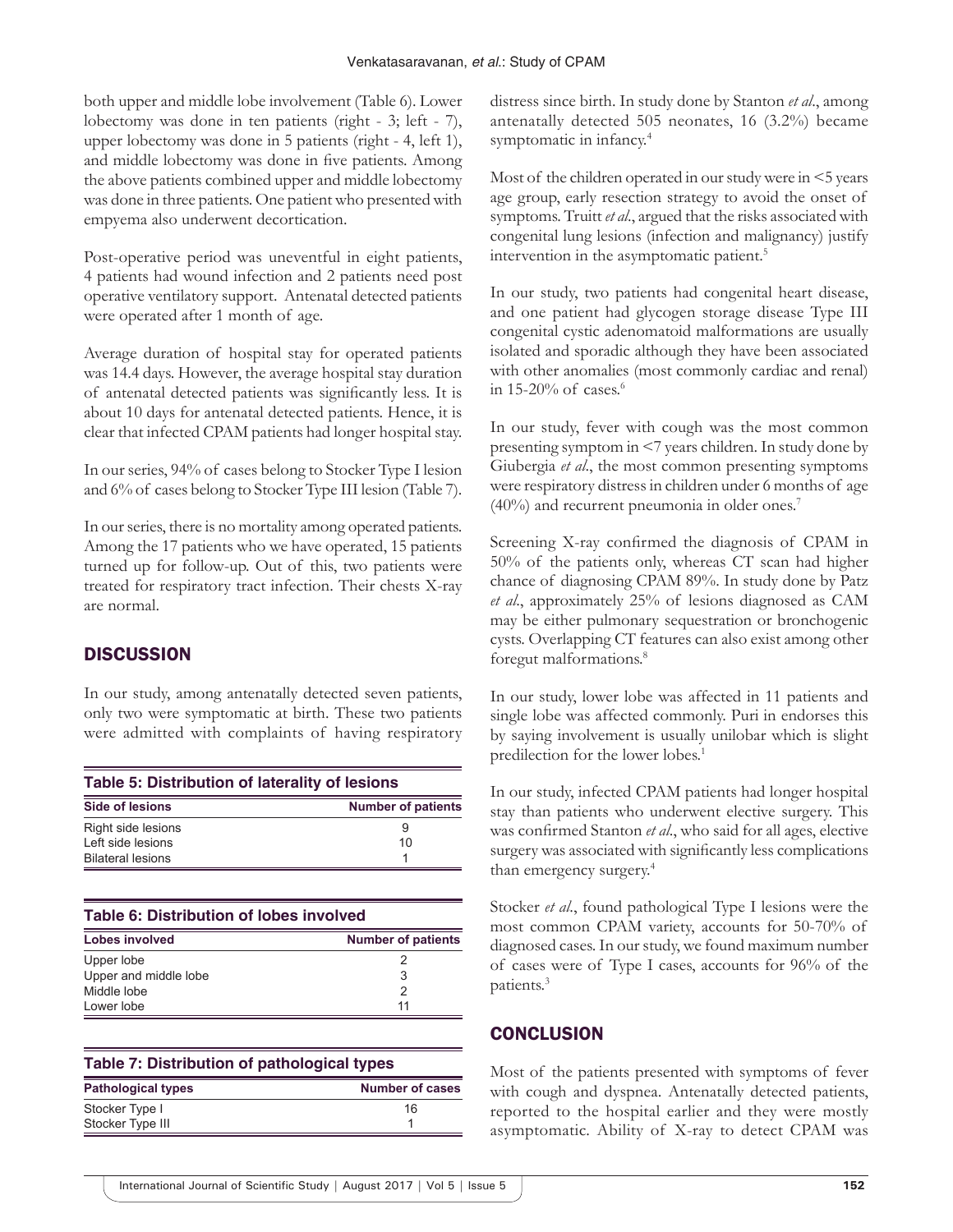both upper and middle lobe involvement (Table 6). Lower lobectomy was done in ten patients (right - 3; left - 7), upper lobectomy was done in 5 patients (right - 4, left 1), and middle lobectomy was done in five patients. Among the above patients combined upper and middle lobectomy was done in three patients. One patient who presented with empyema also underwent decortication.

Post-operative period was uneventful in eight patients, 4 patients had wound infection and 2 patients need post operative ventilatory support. Antenatal detected patients were operated after 1 month of age.

Average duration of hospital stay for operated patients was 14.4 days. However, the average hospital stay duration of antenatal detected patients was significantly less. It is about 10 days for antenatal detected patients. Hence, it is clear that infected CPAM patients had longer hospital stay.

In our series, 94% of cases belong to Stocker Type I lesion and 6% of cases belong to Stocker Type III lesion (Table 7).

In our series, there is no mortality among operated patients. Among the 17 patients who we have operated, 15 patients turned up for follow-up. Out of this, two patients were treated for respiratory tract infection. Their chests X-ray are normal.

## **DISCUSSION**

In our study, among antenatally detected seven patients, only two were symptomatic at birth. These two patients were admitted with complaints of having respiratory

| Table 5: Distribution of laterality of lesions |                           |  |
|------------------------------------------------|---------------------------|--|
| <b>Side of lesions</b>                         | <b>Number of patients</b> |  |
| Right side lesions                             | 9                         |  |
| Left side lesions                              | 10                        |  |
| <b>Bilateral lesions</b>                       |                           |  |

| <b>Table 6: Distribution of lobes involved</b> |                           |  |
|------------------------------------------------|---------------------------|--|
| <b>Lobes involved</b>                          | <b>Number of patients</b> |  |
| Upper lobe                                     |                           |  |
| Upper and middle lobe                          | 3                         |  |
| Middle lobe                                    |                           |  |
| Lower lobe                                     | 11                        |  |

| Table 7: Distribution of pathological types |  |
|---------------------------------------------|--|
|---------------------------------------------|--|

| <b>Pathological types</b> | <b>Number of cases</b> |
|---------------------------|------------------------|
| Stocker Type I            | 16                     |
| Stocker Type III          |                        |

distress since birth. In study done by Stanton *et al*., among antenatally detected 505 neonates, 16 (3.2%) became symptomatic in infancy.<sup>4</sup>

Most of the children operated in our study were in <5 years age group, early resection strategy to avoid the onset of symptoms. Truitt *et al*., argued that the risks associated with congenital lung lesions (infection and malignancy) justify intervention in the asymptomatic patient.<sup>5</sup>

In our study, two patients had congenital heart disease, and one patient had glycogen storage disease Type III congenital cystic adenomatoid malformations are usually isolated and sporadic although they have been associated with other anomalies (most commonly cardiac and renal) in 15-20% of cases. $6$ 

In our study, fever with cough was the most common presenting symptom in <7 years children. In study done by Giubergia *et al*., the most common presenting symptoms were respiratory distress in children under 6 months of age (40%) and recurrent pneumonia in older ones.7

Screening X-ray confirmed the diagnosis of CPAM in 50% of the patients only, whereas CT scan had higher chance of diagnosing CPAM 89%. In study done by Patz *et al*., approximately 25% of lesions diagnosed as CAM may be either pulmonary sequestration or bronchogenic cysts. Overlapping CT features can also exist among other foregut malformations.<sup>8</sup>

In our study, lower lobe was affected in 11 patients and single lobe was affected commonly. Puri in endorses this by saying involvement is usually unilobar which is slight predilection for the lower lobes.1

In our study, infected CPAM patients had longer hospital stay than patients who underwent elective surgery. This was confirmed Stanton *et al*., who said for all ages, elective surgery was associated with significantly less complications than emergency surgery.4

Stocker *et al*., found pathological Type I lesions were the most common CPAM variety, accounts for 50-70% of diagnosed cases. In our study, we found maximum number of cases were of Type I cases, accounts for 96% of the patients.3

## **CONCLUSION**

Most of the patients presented with symptoms of fever with cough and dyspnea. Antenatally detected patients, reported to the hospital earlier and they were mostly asymptomatic. Ability of X-ray to detect CPAM was